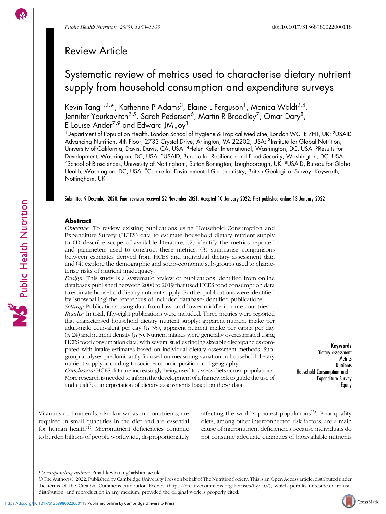Public Health Nutrition

# Review Article

# Systematic review of metrics used to characterise dietary nutrient supply from household consumption and expenditure surveys

Kevin Tang<sup>1,2,</sup>\*, Katherine P Adams<sup>3</sup>, Elaine L Ferguson<sup>1</sup>, Monica Woldt<sup>2,4</sup>, Jennifer Yourkavitch<sup>2,5</sup>, Sarah Pedersen<sup>6</sup>, Martin R Broadley<sup>7</sup>, Omar Dary<sup>8</sup>, E Louise Ander<sup>7,9</sup> and Edward JM Joy<sup>1</sup>

<sup>1</sup>Department of Population Health, London School of Hygiene & Tropical Medicine, London WC1E 7HT, UK: <sup>2</sup>USAID Advancing Nutrition, 4th Floor, 2733 Crystal Drive, Arlington, VA 22202, USA: <sup>3</sup>Institute for Global Nutrition, University of California, Davis, Davis, CA, USA: 4Helen Keller International, Washington, DC, USA: 5Results for Development, Washington, DC, USA: <sup>6</sup>USAID, Bureau for Resilience and Food Security, Washington, DC, USA: <sup>7</sup>School of Biosciences, University of Nottingham, Sutton Bonington, Loughborough, UK: <sup>8</sup>USAID, Bureau for Global Health, Washington, DC, USA: <sup>9</sup>Centre for Environmental Geochemistry, British Geological Survey, Keyworth, Nottingham, UK

Submitted 9 December 2020: Final revision received 22 November 2021: Accepted 10 January 2022: First published online 13 January 2022

### Abstract

Objective: To review existing publications using Household Consumption and Expenditure Survey (HCES) data to estimate household dietary nutrient supply to (1) describe scope of available literature, (2) identify the metrics reported and parameters used to construct these metrics, (3) summarise comparisons between estimates derived from HCES and individual dietary assessment data and (4) explore the demographic and socio-economic sub-groups used to characterise risks of nutrient inadequacy.

Design: This study is a systematic review of publications identified from online databases published between 2000 to 2019 that used HCES food consumption data to estimate household dietary nutrient supply. Further publications were identified by 'snowballing' the references of included database-identified publications.

Setting: Publications using data from low- and lower-middle income countries. Results: In total, fifty-eight publications were included. Three metrics were reported that characterised household dietary nutrient supply: apparent nutrient intake per adult-male equivalent per day  $(n 35)$ , apparent nutrient intake per capita per day  $(n 24)$  and nutrient density  $(n 5)$ . Nutrient intakes were generally overestimated using HCES food consumption data, with several studies finding sizeable discrepancies compared with intake estimates based on individual dietary assessment methods. Subgroup analyses predominantly focused on measuring variation in household dietary nutrient supply according to socio-economic position and geography.

Conclusion: HCES data are increasingly being used to assess diets across populations. More research is needed to inform the development of a framework to guide the use of and qualified interpretation of dietary assessments based on these data.

Keywords Dietary assessment **Metrics Nutrients** Household Consumption and Expenditure Survey **Equity** 

Vitamins and minerals, also known as micronutrients, are required in small quantities in the diet and are essential for human health<sup>([1](#page-11-0))</sup>. Micronutrient deficiencies continue to burden billions of people worldwide, disproportionately affecting the world's poorest populations<sup> $(2)$  $(2)$  $(2)$ </sup>. Poor-quality diets, among other interconnected risk factors, are a main cause of micronutrient deficiencies because individuals do not consume adequate quantities of bioavailable nutrients



<sup>\*</sup>Corresponding author: Email [kevin.tang1@lshtm.ac.uk](mailto:kevin.tang1@lshtm.ac.uk)

<sup>©</sup> The Author(s), 2022. Published by Cambridge University Press on behalf of The Nutrition Society. This is an Open Access article, distributed under the terms of the Creative Commons Attribution licence [\(https://creativecommons.org/licenses/by/4.0/\)](https://creativecommons.org/licenses/by/4.0/), which permits unrestricted re-use, distribution, and reproduction in any medium, provided the original work is properly cited.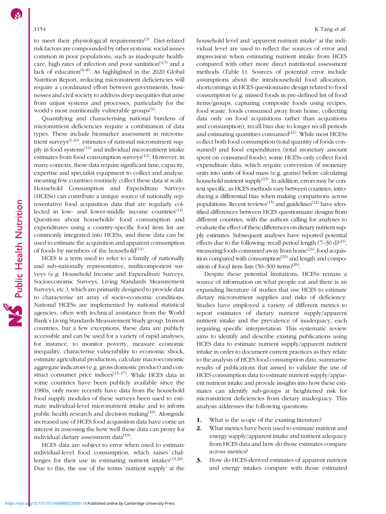to meet their physiological requirements<sup>([3](#page-11-0))</sup>. Diet-related risk factors are compounded by other systemic social issues common in poor populations, such as inadequate healthcare, high rates of infection and poor sanitation<sup> $(4,5)$ </sup> and a lack of education<sup> $(6-8)$  $(6-8)$  $(6-8)$  $(6-8)$ </sup>. As highlighted in the 2020 Global Nutrition Report, reducing micronutrient deficiencies will require a coordinated effort between governments, businesses and civil society to address deep inequities that arise from unjust systems and processes, particularly for the world's most nutritionally vulnerable groups<sup>[\(9\)](#page-11-0)</sup>.

Quantifying and characterising national burdens of micronutrient deficiencies require a combination of data types. These include biomarker assessment in micronutrient surveys $^{(6,10)}$  $^{(6,10)}$  $^{(6,10)}$ , estimates of national micronutrient supply in food systems[\(11\)](#page-11-0) and individual micronutrient intake estimates from food consumption surveys<sup>([12](#page-11-0))</sup>. However, in many contexts, these data require significant time, capacity, expertise and specialist equipment to collect and analyse, meaning few countries routinely collect these data at scale. Household Consumption and Expenditure Surveys (HCESs) can contribute a unique source of nationally representative food acquisition data that are regularly collected in low- and lower-middle income countries $(13)$  $(13)$ . Questions about households' food consumption and expenditures using a country-specific food item list are commonly integrated into HCESs, and these data can be used to estimate the acquisition and apparent consumption of foods by members of the household $^{(14)}$  $^{(14)}$  $^{(14)}$ .

HCES is a term used to refer to a family of nationally and sub-nationally representative, multicomponent surveys (e.g. Household Income and Expenditure Surveys, Socioeconomic Surveys, Living Standards Measurement Surveys, etc.), which are primarily designed to provide data to characterise an array of socio-economic conditions. National HCESs are implemented by national statistical agencies, often with technical assistance from the World Bank's Living Standards Measurement Study group. In most countries, bar a few exceptions, these data are publicly accessible and can be used for a variety of rapid analyses, for instance, to monitor poverty, measure economic inequality, characterise vulnerability to economic shock, estimate agricultural production, calculate macroeconomic aggregate indicators (e.g. gross domestic product) and con-struct consumer price indices<sup>([15](#page-11-0)-[17](#page-11-0))</sup>. While HCES data in some countries have been publicly available since the 1980s, only more recently have data from the household food supply modules of these surveys been used to estimate individual-level micronutrient intake and to inform public health research and decision making<sup>([18](#page-11-0))</sup>. Alongside increased use of HCES food acquisition data have come an interest in assessing the how well these data can proxy for individual dietary assessment data $^{(19)}$  $^{(19)}$  $^{(19)}$ .

HCES data are subject to error when used to estimate individual-level food consumption, which raises challenges for their use in estimating nutrient intakes $(19,20)$  $(19,20)$ . Due to this, the use of the terms 'nutrient supply' at the

household level and 'apparent nutrient intake' at the individual level are used to reflect the sources of error and imprecision when estimating nutrient intake from HCES compared with other more direct nutritional assessment methods (Table [1](#page-2-0)). Sources of potential error include assumptions about the intrahousehold food allocation, shortcomings in HCES questionnaire design related to food consumption (e.g. missed foods in pre-defined list of food items/groups, capturing composite foods using recipes, food waste, foods consumed away from home, collecting data only on food acquisitions rather than acqusitions and consumption), recall bias due to longer recall periods and estimating quantities consumed $^{(21)}$  $^{(21)}$  $^{(21)}$ . While most HCESs collect both food consumption (total quantity of foods consumed) and food expenditures (total monetary amount spent on consumed foods), some HCESs only collect food expenditure data, which require conversion of monetary units into units of food mass (e.g. grams) before calculating household nutrient supply $(13)$  $(13)$  $(13)$ . In addition, errors may be context specific, as HCES methods vary between countries, introducing a differential bias when making comparisons across populations. Recent reviews<sup> $(13)$  $(13)$ </sup> and guidelines<sup> $(22)$ </sup> have identified differences between HCES questionnaire designs from different countries, with the authors calling for analyses to evaluate the effect of these differences on dietary nutrient supply estimates. Subsequent analyses have reported potential effects due to the following: recall period length  $(7-30 \text{ d})^{(23)}$  $(7-30 \text{ d})^{(23)}$  $(7-30 \text{ d})^{(23)}$ , measuring foods consumed away from home<sup> $(24)$ </sup>, food acquisition compared with consumption $(25)$  and length and composition of food item lists  $(50-300 \text{ items})^{(26)}$  $(50-300 \text{ items})^{(26)}$  $(50-300 \text{ items})^{(26)}$ .

Despite these potential limitations, HCESs remain a source of information on what people eat and there is an expanding literature of studies that use HCES to estimate dietary micronutrient supplies and risks of deficiency. Studies have employed a variety of different metrics to report estimates of dietary nutrient supply/apparent nutrient intake and the prevalence of inadequacy, each requiring specific interpretation. This systematic review aims to identify and describe existing publications using HCES data to estimate nutrient supply/apparent nutrient intake in order to document current practices as they relate to the analysis of HCES food consumption data, summarise results of publications that aimed to validate the use of HCES consumption data to estimate nutrient supply/apparent nutrient intake and provide insights into how these estimates can identify sub-groups at heightened risk for micronutrient deficiencies from dietary inadequacy. This analysis addresses the following questions:

- 1. What is the scope of the existing literature?
- 2. What metrics have been used to estimate nutrient and energy supply/apparent intake and nutrient adequacy from HCES data and how do those estimates compare across metrics?
- 3. How do HCES-derived estimates of apparent nutrient and energy intakes compare with those estimated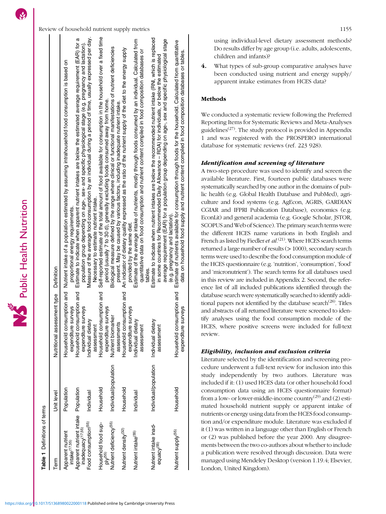**Table 1** Definitions of terms Definitions of terms

<span id="page-2-0"></span>

| Term                                                                 | Unit level            | Nutritional assessment type Definition                   |                                                                                                                                                                                                                                                                                                                                                                 |
|----------------------------------------------------------------------|-----------------------|----------------------------------------------------------|-----------------------------------------------------------------------------------------------------------------------------------------------------------------------------------------------------------------------------------------------------------------------------------------------------------------------------------------------------------------|
| Apparent nutrient<br>intake <sup>(17,55)</sup>                       | Population            | surveys<br>expenditure                                   | Household consumption and Nutrient intake of a population estimated by assuming intrahousehold food consumption is based on<br>proportional energy requirements.                                                                                                                                                                                                |
| Apparent nutrient intake Population<br>inadequacy <sup>(17,55)</sup> |                       | Household consumption and<br>surveys<br>expenditure      | Estimate to indicate when apparent nutrient intakes are below the estimated average requirement (EAR) for a<br>population group depending on age-, sex- and specific physiological stage (e.g. pregnancy and lactation).                                                                                                                                        |
| Food consumption <sup>(55)</sup>                                     | Individual            | Individual dietary<br>assessment                         | Measure of the average food consumption by an individual during a period of time, usually expressed per day.<br>Necessary to estimate nutrient intake.                                                                                                                                                                                                          |
| Household food sup-<br>$p$ <sub><math>\mathsf{V}^{(55)}</math></sub> | Household             | nsumption and<br>surveys<br>Household cor<br>expenditure | Self-reported estimate of the total amount of food available for consumption in the household over a fixed time<br>period (usually 7 to 30 d), generally excluding foods consumed away from home.                                                                                                                                                               |
| Nutrient deficiency <sup>(55)</sup>                                  | Individual/population | arker<br>assessments<br>Nutrient bioma                   | Biological measure defined by the range where clinical or functional manifestations of nutrient deficiencies<br>present. May be caused by various factors, including inadequate nutrient intake                                                                                                                                                                 |
| Nutrient density <sup>(32)</sup>                                     | Household             | Household consumption and<br>surveys<br>expenditure      | An indicator of dietary quality expressed as the ratio of the nutrient supply of the diet to the energy supply<br>provided by the same diet                                                                                                                                                                                                                     |
| Nutrient intake <sup>(55)</sup>                                      | Individual            | Individual dietary<br>assessment                         | Estimate of the average intake of nutrients, mostly through foods consumed by an individual. Calculated from<br>quantitative data on food consumption and nutrient content compiled in food composition databases or<br>tables                                                                                                                                  |
| Nutrient intake inad-<br>equacy <sup>(55)</sup>                      | Individual/population | Individual dietary<br>assessment                         | Estimate to indicate when nutrient intakes are below the recommended nutrient intake (RNI, which is replaced<br>average requirement (EAR) for a population group depending on age-, sex and specific physiological stage<br>in some countries for Recommended Daily Allowance – RDA) for individuals, or below the estimated<br>(e.g. pregnancy and lactation). |
| Nutrient supply <sup>(55)</sup>                                      | Household             | nsumption and<br>surveys<br>Household cor<br>expenditure | Estimate of nutrients available for consumption through foods for the household. Calculated from quantitative<br>data on household food supply and nutrient content compiled in food composition databases or tables.                                                                                                                                           |

using individual-level dietary assessment methods? Do results differ by age group (i.e. adults, adolescents, children and infants)?

4. What types of sub-group comparative analyses have been conducted using nutrient and energy supply/ apparent intake estimates from HCES data?

# Methods

We conducted a systematic review following the Preferred Reporting Items for Systematic Reviews and Meta-Analyses guidelines<sup> $(27)$  $(27)$ </sup>. The study protocol is provided in Appendix [1](https://doi.org/10.1017/S1368980022000118) and was registered with the PROSPERO international database for systematic reviews (ref. 223 928).

# Identification and screening of literature

A two-step procedure was used to identify and screen the available literature. First, fourteen public databases were systematically searched by one author in the domains of public health (e.g. Global Health Database and PubMed), agriculture and food systems (e.g. AgEcon, AGRIS, GARDIAN CGIAR and IFPRI Publication Database), economics (e.g. EconLit) and general academia (e.g. Google Scholar, JSTOR, SCOPUS and Web of Science). The primary search terms were the different HCES name variations in both English and French as listed by Fiedler et  $al$ .<sup>[\(21\)](#page-11-0)</sup>. Where HCES search terms returned a large number of results (> 1000), secondary search terms were used to describe the food consumption module of the HCES questionnaire (e.g. 'nutrition', 'consumption', 'food' and 'micronutrient'). The search terms for all databases used in this review are included in Appendix [2.](https://doi.org/10.1017/S1368980022000118) Second, the reference list of all included publications identified through the database search were systematically searched to identify additional papers not identified by the database search<sup> $(28)$  $(28)$  $(28)$ </sup>. Titles and abstracts of all returned literature were screened to identify analyses using the food consumption module of the HCES, where positive screens were included for full-text review.

## Eligibility, inclusion and exclusion criteria

Literature selected by the identification and screening procedure underwent a full-text review for inclusion into this study independently by two authors. Literature was included if it: (1) used HCES data (or other household food consumption data using an HCES questionnaire format) from a low- or lower-middle-income country<sup>[\(29](#page-12-0))</sup> and (2) estimated household nutrient supply or apparent intake of nutrients or energy using data from the HCES food consumption and/or expenditure module. Literature was excluded if it (1) was written in a language other than English or French or (2) was published before the year 2000. Any disagreements between the two co-authors about whether to include a publication were resolved through discussion. Data were managed using Mendeley Desktop (version 1.19.4; Elsevier, London, United Kingdom).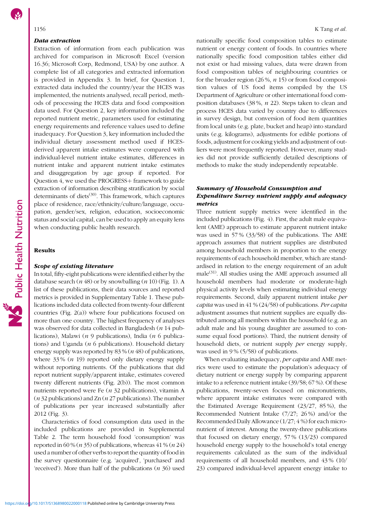#### Data extraction

Extraction of information from each publication was archived for comparison in Microsoft Excel (version 16.36; Microsoft Corp, Redmond, USA) by one author. A complete list of all categories and extracted information is provided in Appendix [3.](https://doi.org/10.1017/S1368980022000118) In brief, for Question 1, extracted data included the country/year the HCES was implemented, the nutrients analysed, recall period, methods of processing the HCES data and food composition data used. For Question 2, key information included the reported nutrient metric, parameters used for estimating energy requirements and reference values used to define inadequacy. For Question 3, key information included the individual dietary assessment method used if HCESderived apparent intake estimates were compared with individual-level nutrient intake estimates, differences in nutrient intake and apparent nutrient intake estimates and disaggregation by age group if reported. For Question 4, we used the PROGRESS+ framework to guide extraction of information describing stratification by social determinants of diets $(30)$  $(30)$  $(30)$ . This framework, which captures place of residence, race/ethnicity/culture/language, occupation, gender/sex, religion, education, socioeconomic status and social capital, can be used to apply an equity lens when conducting public health research.

## Results

### Scope of existing literature

In total, fifty-eight publications were identified either by the database search ( $n$  48) or by snowballing ( $n$  10) (Fig. [1\)](#page-4-0). A list of these publications, their data sources and reported metrics is provided in Supplementary Table [1](https://doi.org/10.1017/S1368980022000118). These publications included data collected from twenty-four different countries (Fig. [2\(](#page-5-0)a)) where four publications focused on more than one country. The highest frequency of analyses was observed for data collected in Bangladesh (*n* 14 publications), Malawi ( $n \theta$  publications), India ( $n \theta$  publications) and Uganda ( $n$  6 publications). Household dietary energy supply was reported by 83 % (n 48) of publications, where  $33\%$   $(n\ 19)$  reported only dietary energy supply without reporting nutrients. Of the publications that did report nutrient supply/apparent intake, estimates covered twenty different nutrients (Fig. [2](#page-5-0)(b)). The most common nutrients reported were Fe (n 32 publications), vitamin A ( $n$  32 publications) and Zn ( $n$  27 publications). The number of publications per year increased substantially after 2012 (Fig. [3](#page-6-0)).

Characteristics of food consumption data used in the included publications are provided in Supplemental Table [2.](https://doi.org/10.1017/S1368980022000118) The term household food 'consumption' was reported in 60 % ( $n$  35) of publications, whereas 41 % ( $n$  24) used a number of other verbs to report the quantity of food in the survey questionnaire (e.g. 'acquired', 'purchased' and 'received'). More than half of the publications  $(n 36)$  used nationally specific food composition tables to estimate nutrient or energy content of foods. In countries where nationally specific food composition tables either did not exist or had missing values, data were drawn from food composition tables of neighbouring countries or for the broader region  $(26\%, n 15)$  or from food composition values of US food items compiled by the US Department of Agriculture or other international food composition databases (38 %, n 22). Steps taken to clean and process HCES data varied by country due to differences in survey design, but conversion of food item quantities from local units (e.g. plate, bucket and heap) into standard units (e.g. kilograms), adjustments for edible portions of foods, adjustment for cooking yields and adjustment of outliers were most frequently reported. However, many studies did not provide sufficiently detailed descriptions of methods to make the study independently repeatable.

# Summary of Household Consumption and Expenditure Survey nutrient supply and adequacy metrics

Three nutrient supply metrics were identified in the included publications (Fig. [4](#page-7-0)). First, the adult male equivalent (AME) approach to estimate apparent nutrient intake was used in 57 % (33/58) of the publications. The AME approach assumes that nutrient supplies are distributed among household members in proportion to the energy requirements of each household member, which are standardised in relation to the energy requirement of an adult male $^{(31)}$  $^{(31)}$  $^{(31)}$ . All studies using the AME approach assumed all household members had moderate or moderate-high physical activity levels when estimating individual energy requirements. Second, daily apparent nutrient intake per capita was used in 41 % (24/58) of publications. Per capita adjustment assumes that nutrient supplies are equally distributed among all members within the household (e.g. an adult male and his young daughter are assumed to consume equal food portions). Third, the nutrient density of household diets, or nutrient supply *per* energy supply, was used in 9% (5/58) of publications.

When evaluating inadequacy, *per capita* and AME metrics were used to estimate the population's adequacy of dietary nutrient or energy supply by comparing apparent intake to a reference nutrient intake (39/58; 67 %). Of these publications, twenty-seven focused on micronutrients, where apparent intake estimates were compared with the Estimated Average Requirement (23/27, 85 %), the Recommended Nutrient Intake (7/27; 26 %) and/or the Recommended Daily Allowance (1/27; 4 %) for each micronutrient of interest. Among the twenty-three publications that focused on dietary energy, 57 % (13/23) compared household energy supply to the household's total energy requirements calculated as the sum of the individual requirements of all household members, and 43 % (10/ 23) compared individual-level apparent energy intake to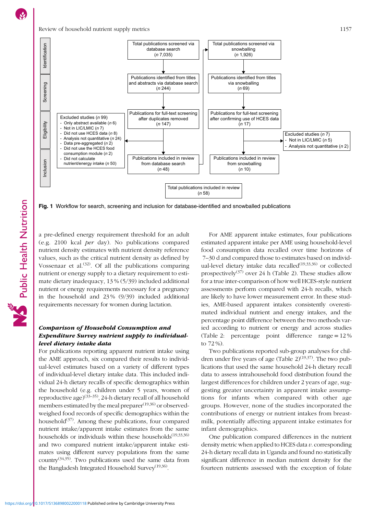Public Health Nutrition

<span id="page-4-0"></span>

Fig. 1 Workflow for search, screening and inclusion for database-identified and snowballed publications

a pre-defined energy requirement threshold for an adult (e.g. 2100 kcal per day). No publications compared nutrient density estimates with nutrient density reference values, such as the critical nutrient density as defined by Vossenaar et al.<sup>([32](#page-12-0))</sup>. Of all the publications comparing nutrient or energy supply to a dietary requirement to estimate dietary inadequacy, 13 % (5/39) included additional nutrient or energy requirements necessary for a pregnancy in the household and 23 % (9/39) included additional requirements necessary for women during lactation.

# Comparison of Household Consumption and Expenditure Survey nutrient supply to individuallevel dietary intake data

For publications reporting apparent nutrient intake using the AME approach, six compared their results to individual-level estimates based on a variety of different types of individual-level dietary intake data. This included individual 24-h dietary recalls of specific demographics within the household (e.g. children under 5 years, women of reproductive age)([33](#page-12-0)–[35](#page-12-0)), 24-h dietary recall of all household members estimated by the meal preparer<sup>([19,](#page-11-0)[36\)](#page-12-0)</sup> or observedweighed food records of specific demographics within the household $(37)$  $(37)$  $(37)$ . Among these publications, four compared nutrient intake/apparent intake estimates from the same households or individuals within these households<sup> $(19,33,36)$  $(19,33,36)$ </sup> and two compared nutrient intake/apparent intake estimates using different survey populations from the same country<sup> $(34,35)$ </sup>. Two publications used the same data from the Bangladesh Integrated Household Survey<sup> $(19,36)$  $(19,36)$ </sup>.

For AME apparent intake estimates, four publications estimated apparent intake per AME using household-level food consumption data recalled over time horizons of 7–30 d and compared those to estimates based on individ-ual-level dietary intake data recalled<sup>[\(19](#page-11-0),[33](#page-12-0),[36\)](#page-12-0)</sup> or collected prospectively([37](#page-12-0)) over 24 h (Table [2](#page-8-0)). These studies allow for a true inter-comparison of how well HCES-style nutrient assessments perform compared with 24-h recalls, which are likely to have lower measurement error. In these studies, AME-based apparent intakes consistently overestimated individual nutrient and energy intakes, and the percentage point difference between the two methods varied according to nutrient or energy and across studies (Table [2](#page-8-0): percentage point difference range = 12 % to 72 %).

Two publications reported sub-group analyses for children under five years of age (Table  $2)^{(19,37)}$  $2)^{(19,37)}$  $2)^{(19,37)}$  $2)^{(19,37)}$ . The two publications that used the same household 24-h dietary recall data to assess intrahousehold food distribution found the largest differences for children under 2 years of age, suggesting greater uncertainty in apparent intake assumptions for infants when compared with other age groups. However, none of the studies incorporated the contributions of energy or nutrient intakes from breastmilk, potentially affecting apparent intake estimates for infant demographics.

One publication compared differences in the nutrient density metric when applied to HCES data  $v$ . corresponding 24-h dietary recall data in Uganda and found no statistically significant difference in median nutrient density for the fourteen nutrients assessed with the exception of folate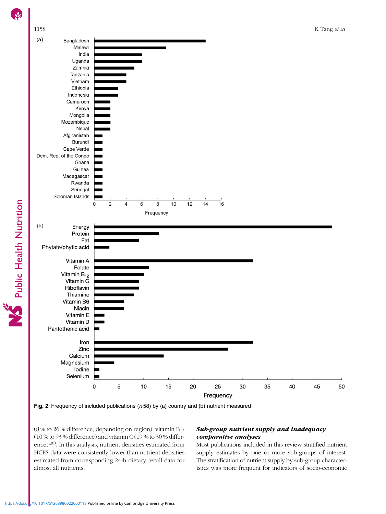<span id="page-5-0"></span>



(8 % to 26 % difference, depending on region), vitamin  $B_{12}$ (10 % to 93 % difference) and vitamin C (19 % to 30 % differ-ence)<sup>[\(38\)](#page-12-0)</sup>. In this analysis, nutrient densities estimated from HCES data were consistently lower than nutrient densities estimated from corresponding 24-h dietary recall data for almost all nutrients.

# Sub-group nutrient supply and inadequacy comparative analyses

Most publications included in this review stratified nutrient supply estimates by one or more sub-groups of interest. The stratification of nutrient supply by sub-group characteristics was more frequent for indicators of socio-economic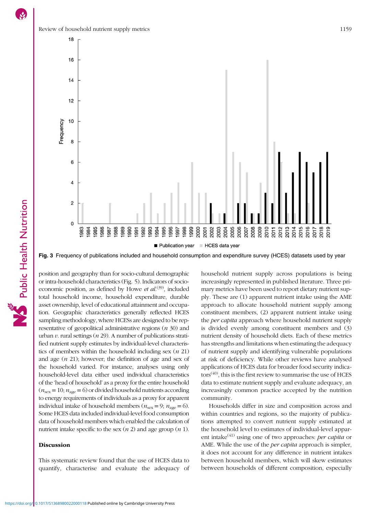<span id="page-6-0"></span>

Public Health Nutrition



Fig. 3 Frequency of publications included and household consumption and expenditure survey (HCES) datasets used by year

position and geography than for socio-cultural demographic or intra-household characteristics (Fig. [5](#page-9-0)). Indicators of socioeconomic position, as defined by Howe et  $al^{(39)}$  $al^{(39)}$  $al^{(39)}$ , included total household income, household expenditure, durable asset ownership, level of educational attainment and occupation. Geographic characteristics generally reflected HCES sampling methodology, where HCESs are designed to be representative of geopolitical administrative regions  $(n 30)$  and urban  $v$ . rural settings ( $n$  29). A number of publications stratified nutrient supply estimates by individual-level characteristics of members within the household including sex  $(n 21)$ and age  $(n 21)$ ; however; the definition of age and sex of the household varied. For instance, analyses using only household-level data either used individual characteristics of the 'head of household' as a proxy for the entire household  $(n_{\text{sex}} = 10; n_{\text{age}} = 6)$  or divided household nutrients according to energy requirements of individuals as a proxy for apparent individual intake of household members ( $n_{\text{sex}} = 9$ ;  $n_{\text{age}} = 6$ ). Some HCES data included individual-level food consumption data of household members which enabled the calculation of nutrient intake specific to the sex  $(n 2)$  and age group  $(n 1)$ .

#### **Discussion**

This systematic review found that the use of HCES data to quantify, characterise and evaluate the adequacy of household nutrient supply across populations is being increasingly represented in published literature. Three primary metrics have been used to report dietary nutrient supply. These are (1) apparent nutrient intake using the AME approach to allocate household nutrient supply among constituent members, (2) apparent nutrient intake using the *per capita* approach where household nutrient supply is divided evenly among constituent members and (3) nutrient density of household diets. Each of these metrics has strengths and limitations when estimating the adequacy of nutrient supply and identifying vulnerable populations at risk of deficiency. While other reviews have analysed applications of HCES data for broader food security indica- $\cos^{(40)}$  $\cos^{(40)}$  $\cos^{(40)}$ , this is the first review to summarise the use of HCES data to estimate nutrient supply and evaluate adequacy, an increasingly common practice accepted by the nutrition community.

Households differ in size and composition across and within countries and regions, so the majority of publications attempted to convert nutrient supply estimated at the household level to estimates of individual-level apparent intake $^{(41)}$  $^{(41)}$  $^{(41)}$  using one of two approaches: *per capita* or AME. While the use of the per capita approach is simpler, it does not account for any difference in nutrient intakes between household members, which will skew estimates between households of different composition, especially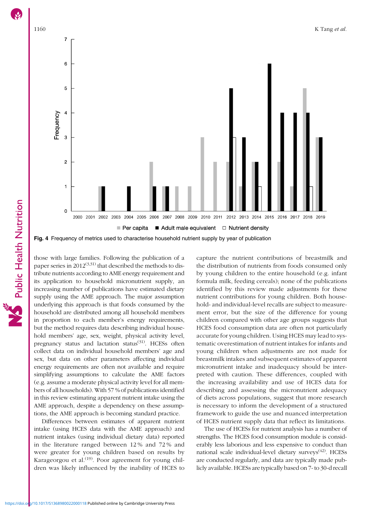<span id="page-7-0"></span>

Fig. 4 Frequency of metrics used to characterise household nutrient supply by year of publication

those with large families. Following the publication of a paper series in  $2012^{(3,31)}$  $2012^{(3,31)}$  $2012^{(3,31)}$  $2012^{(3,31)}$  that described the methods to distribute nutrients according to AME energy requirement and its application to household micronutrient supply, an increasing number of publications have estimated dietary supply using the AME approach. The major assumption underlying this approach is that foods consumed by the household are distributed among all household members in proportion to each member's energy requirements, but the method requires data describing individual household members' age, sex, weight, physical activity level, pregnancy status and lactation status<sup>([31](#page-12-0))</sup>. HCESs often collect data on individual household members' age and sex, but data on other parameters affecting individual energy requirements are often not available and require simplifying assumptions to calculate the AME factors (e.g. assume a moderate physical activity level for all members of all households). With 57 % of publications identified in this review estimating apparent nutrient intake using the AME approach, despite a dependency on these assumptions, the AME approach is becoming standard practice.

Differences between estimates of apparent nutrient intake (using HCES data with the AME approach) and nutrient intakes (using individual dietary data) reported in the literature ranged between 12 % and 72 % and were greater for young children based on results by Karageorgou et al.<sup> $(19)$  $(19)$  $(19)$ </sup>. Poor agreement for young children was likely influenced by the inability of HCES to

capture the nutrient contributions of breastmilk and the distribution of nutrients from foods consumed only by young children to the entire household (e.g. infant formula milk, feeding cereals); none of the publications identified by this review made adjustments for these nutrient contributions for young children. Both household- and individual-level recalls are subject to measurement error, but the size of the difference for young children compared with other age groups suggests that HCES food consumption data are often not particularly accurate for young children. Using HCES may lead to systematic overestimation of nutrient intakes for infants and young children when adjustments are not made for breastmilk intakes and subsequent estimates of apparent micronutrient intake and inadequacy should be interpreted with caution. These differences, coupled with the increasing availability and use of HCES data for describing and assessing the micronutrient adequacy of diets across populations, suggest that more research is necessary to inform the development of a structured framework to guide the use and nuanced interpretation of HCES nutrient supply data that reflect its limitations.

The use of HCESs for nutrient analysis has a number of strengths. The HCES food consumption module is considerably less laborious and less expensive to conduct than national scale individual-level dietary surveys<sup>([42](#page-12-0))</sup>. HCESs are conducted regularly, and data are typically made publicly available. HCESs are typically based on 7- to 30-d recall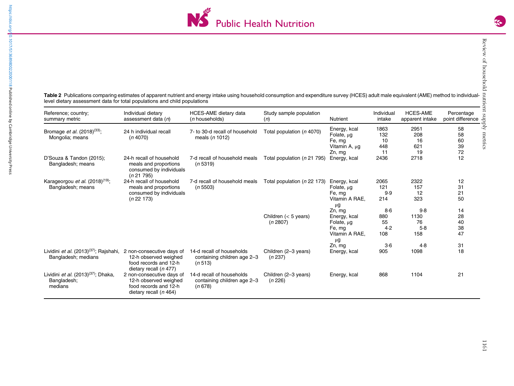

<span id="page-8-0"></span>Table 2 Publications comparing estimates of apparent nutrient and energy intake using household consumption and expenditure survey (HCES) adult male equivalent (AME) method to individuallevel dietary assessment data for total populations and child populations

| Reference; country;<br>summary metric                                            | Individual dietary<br>assessment data $(n)$                                                             | <b>HCES-AME</b> dietary data<br>( <i>n</i> households)              | Study sample population<br>(n)     | <b>Nutrient</b>                                                                  | Individual<br>intake             | <b>HCES-AME</b><br>apparent intake | Percentage<br>point difference |
|----------------------------------------------------------------------------------|---------------------------------------------------------------------------------------------------------|---------------------------------------------------------------------|------------------------------------|----------------------------------------------------------------------------------|----------------------------------|------------------------------------|--------------------------------|
| Bromage <i>et al.</i> $(2018)^{(33)}$ ;<br>Mongolia; means                       | 24 h individual recall<br>(n4070)                                                                       | 7- to 30-d recall of household<br>meals $(n 1012)$                  | Total population (n 4070)          | Energy, kcal<br>Folate, $\mu$ g<br>Fe, mg<br>Vitamin A, µg<br>Zn, mg             | 1863<br>132<br>10<br>448<br>11   | 2951<br>208<br>16<br>621<br>19     | 58<br>58<br>60<br>39<br>72     |
| D'Souza & Tandon (2015);<br>Bangladesh; means                                    | 24-h recall of household<br>meals and proportions<br>consumed by individuals<br>(n 21 795)              | 7-d recall of household meals<br>(n 5319)                           | Total population (n 21 795)        | Energy, kcal                                                                     | 2436                             | 2718                               | 12                             |
| Karageorgou et al. (2018) <sup>(19)</sup> ;<br>Bangladesh; means                 | 24-h recall of household<br>meals and proportions<br>consumed by individuals<br>(n 22 173)              | 7-d recall of household meals<br>(n 5503)                           | Total population (n 22 173)        | Energy, kcal<br>Folate, $\mu$ g<br>Fe, mg<br>Vitamin A RAE.<br>$\mu$ g           | 2065<br>121<br>9.9<br>214        | 2322<br>157<br>12<br>323           | 12<br>31<br>21<br>50           |
|                                                                                  |                                                                                                         |                                                                     | Children $(< 5$ years)<br>(n 2807) | Zn, mg<br>Energy, kcal<br>Folate, $\mu$ g<br>Fe, mg<br>Vitamin A RAE,<br>$\mu$ g | $8-6$<br>880<br>55<br>4.2<br>108 | 9.8<br>1130<br>76<br>5.8<br>158    | 14<br>28<br>40<br>38<br>47     |
| Lividini <i>et al.</i> (2013) <sup>(37)</sup> ; Rajshahi,<br>Bangladesh; medians | 2 non-consecutive days of<br>12-h observed weighed<br>food records and 12-h<br>dietary recall $(n 477)$ | 14-d recall of households<br>containing children age 2-3<br>(n 513) | Children (2-3 years)<br>(n 237)    | Zn. ma<br>Energy, kcal                                                           | $3-6$<br>905                     | 4.8<br>1098                        | 31<br>18                       |
| Lividini et al. (2013) <sup>(37)</sup> ; Dhaka,<br>Bangladesh;<br>medians        | 2 non-consecutive days of<br>12-h observed weighed<br>food records and 12-h<br>dietary recall (n 464)   | 14-d recall of households<br>containing children age 2-3<br>(n 678) | Children (2-3 years)<br>(n 226)    | Energy, kcal                                                                     | 868                              | 1104                               | 21                             |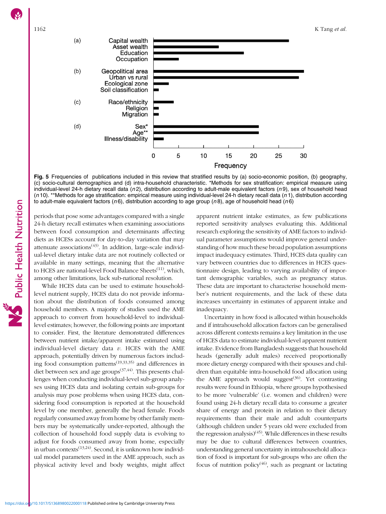<span id="page-9-0"></span>

Fig. 5 Frequencies of publications included in this review that stratified results by (a) socio-economic position, (b) geography, (c) socio-cultural demographics and (d) intra-household characteristic. \*Methods for sex stratification: empirical measure using individual-level 24-h dietary recall data  $(n2)$ , distribution according to adult-male equivalent factors  $(n9)$ , sex of household head  $(n 10)$ . \*\*Methods for age stratification: empirical measure using individual-level 24-h dietary recall data  $(n 1)$ , distribution according to adult-male equivalent factors ( $n6$ ), distribution according to age group ( $n8$ ), age of household head ( $n6$ )

periods that pose some advantages compared with a single 24-h dietary recall estimates when examining associations between food consumption and determinants affecting diets as HCESs account for day-to-day variation that may attenuate associations<sup> $(43)$  $(43)$ </sup>. In addition, large-scale individual-level dietary intake data are not routinely collected or available in many settings, meaning that the alternative to HCES are national-level Food Balance Sheets<sup>[\(11\)](#page-11-0)</sup>, which, among other limitations, lack sub-national resolution.

While HCES data can be used to estimate householdlevel nutrient supply, HCES data do not provide information about the distribution of foods consumed among household members. A majority of studies used the AME approach to convert from household-level to individuallevel estimates; however, the following points are important to consider. First, the literature demonstrated differences between nutrient intake/apparent intake estimated using individual-level dietary data  $v$ . HCES with the AME approach, potentially driven by numerous factors including food consumption patterns<sup> $(19,33,35)$  $(19,33,35)$  $(19,33,35)$  $(19,33,35)$ </sup> and differences in diet between sex and age groups<sup>([37](#page-12-0),[44\)](#page-12-0)</sup>. This presents challenges when conducting individual-level sub-group analyses using HCES data and isolating certain sub-groups for analysis may pose problems when using HCES data, considering food consumption is reported at the household level by one member, generally the head female. Foods regularly consumed away from home by other family members may be systematically under-reported, although the collection of household food supply data is evolving to adjust for foods consumed away from home, especially in urban contexts $(13,24)$  $(13,24)$  $(13,24)$ . Second, it is unknown how individual model parameters used in the AME approach, such as physical activity level and body weights, might affect

apparent nutrient intake estimates, as few publications reported sensitivity analyses evaluating this. Additional research exploring the sensitivity of AME factors to individual parameter assumptions would improve general understanding of how much these broad population assumptions impact inadequacy estimates. Third, HCES data quality can vary between countries due to differences in HCES questionnaire design, leading to varying availability of important demographic variables, such as pregnancy status. These data are important to characterise household member's nutrient requirements, and the lack of these data increases uncertainty in estimates of apparent intake and inadequacy.

Uncertainty in how food is allocated within households and if intrahousehold allocation factors can be generalised across different contexts remains a key limitation in the use of HCES data to estimate individual-level apparent nutrient intake. Evidence from Bangladesh suggests that household heads (generally adult males) received proportionally more dietary energy compared with their spouses and children than equitable intra-household food allocation using the AME approach would suggest $(36)$  $(36)$  $(36)$ . Yet contrasting results were found in Ethiopia, where groups hypothesised to be more 'vulnerable' (i.e. women and children) were found using 24-h dietary recall data to consume a greater share of energy and protein in relation to their dietary requirements than their male and adult counterparts (although children under 5 years old were excluded from the regression analysis)<sup>([45](#page-12-0))</sup>. While differences in these results may be due to cultural differences between countries, understanding general uncertainty in intrahousehold allocation of food is important for sub-groups who are often the focus of nutrition policy<sup>[\(46](#page-12-0))</sup>, such as pregnant or lactating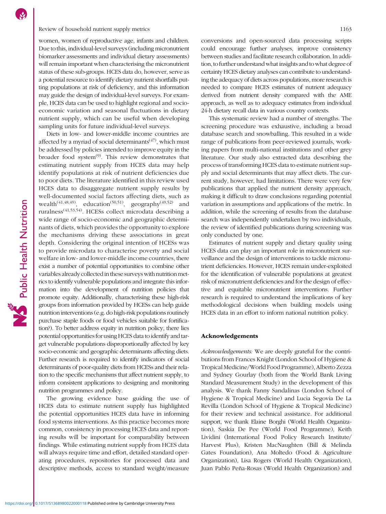### Review of household nutrient supply metrics 1163

women, women of reproductive age, infants and children. Due to this, individual-level surveys (including micronutrient biomarker assessments and individual dietary assessments) will remain important when characterising the micronutrient status of these sub-groups. HCES data do, however, serve as a potential resource to identify dietary nutrient shortfalls putting populations at risk of deficiency, and this information may guide the design of individual-level surveys. For example, HCES data can be used to highlight regional and socioeconomic variation and seasonal fluctuations in dietary nutrient supply, which can be useful when developing sampling units for future individual-level surveys.

Diets in low- and lower-middle income countries are affected by a myriad of social determinants $(47)$ , which must be addressed by policies intended to improve equity in the broader food system $^{(9)}$  $^{(9)}$  $^{(9)}$ . This review demonstrates that estimating nutrient supply from HCES data may help identify populations at risk of nutrient deficiencies due to poor diets. The literature identified in this review used HCES data to disaggregate nutrient supply results by well-documented social factors affecting diets, such as wealth<sup>[\(41](#page-12-0),[48,49](#page-12-0))</sup>, education<sup>([50,51](#page-12-0))</sup>, geography<sup>[\(49](#page-12-0),[52\)](#page-12-0)</sup> and ruralness([41,53,54](#page-12-0)). HCESs collect microdata describing a wide range of socio-economic and geographic determinants of diets, which provides the opportunity to explore the mechanisms driving these associations in great depth. Considering the original intention of HCESs was to provide microdata to characterise poverty and social welfare in low- and lower-middle income countries, there exist a number of potential opportunities to combine other variables already collected in these surveys with nutrition metrics to identify vulnerable populations and integrate this information into the development of nutrition policies that promote equity. Additionally, characterising these high-risk groups from information provided by HCESs can help guide nutrition interventions (e.g. do high-risk populations routinely purchase staple foods or food vehicles suitable for fortification?). To better address equity in nutrition policy, there lies potential opportunities for using HCES data to identify and target vulnerable populations disproportionally affected by key socio-economic and geographic determinants affecting diets. Further research is required to identify indicators of social determinants of poor-quality diets from HCESs and their relation to the specific mechanisms that affect nutrient supply, to inform consistent applications to designing and monitoring nutrition programmes and policy.

The growing evidence base guiding the use of HCES data to estimate nutrient supply has highlighted the potential opportunities HCES data have in informing food systems interventions. As this practice becomes more common, consistency in processing HCES data and reporting results will be important for comparability between findings. While estimating nutrient supply from HCES data will always require time and effort, detailed standard operating procedures, repositories for processed data and descriptive methods, access to standard weight/measure conversions and open-sourced data processing scripts could encourage further analyses, improve consistency between studies and facilitate research collaboration. In addition, to further understand what insights and to what degree of certainty HCES dietary analyses can contribute to understanding the adequacy of diets across populations, more research is needed to compare HCES estimates of nutrient adequacy derived from nutrient density compared with the AME approach, as well as to adequacy estimates from individual 24-h dietary recall data in various country contexts.

This systematic review had a number of strengths. The screening procedure was exhaustive, including a broad database search and snowballing. This resulted in a wide range of publications from peer-reviewed journals, working papers from multi-national institutions and other grey literature. Our study also extracted data describing the process of transforming HCES data to estimate nutrient supply and social determinants that may affect diets. The current study, however, had limitations. There were very few publications that applied the nutrient density approach, making it difficult to draw conclusions regarding potential variation in assumptions and applications of the metric. In addition, while the screening of results from the database search was independently undertaken by two individuals, the review of identified publications during screening was only conducted by one.

Estimates of nutrient supply and dietary quality using HCES data can play an important role in micronutrient surveillance and the design of interventions to tackle micronutrient deficiencies. However, HCES remain under-exploited for the identification of vulnerable populations at greatest risk of micronutrient deficiencies and for the design of effective and equitable micronutrient interventions. Further research is required to understand the implications of key methodological decisions when building models using HCES data in an effort to inform national nutrition policy.

### Acknowledgements

Acknowledgements: We are deeply grateful for the contributions from Frances Knight (London School of Hygiene & Tropical Medicine/World Food Programme), Alberto Zezza and Sydney Gourlay (both from the World Bank Living Standard Measurement Study) in the development of this analysis. We thank Fanny Sandalinas (London School of Hygiene & Tropical Medicine) and Lucia Segovia De La Revilla (London School of Hygiene & Tropical Medicine) for their review and technical assistance. For additional support, we thank Elaine Borghi (World Health Organization), Saskia De Pee (World Food Programme), Keith Lividini (International Food Policy Research Institute/ Harvest Plus), Kristen MacNaughten (Bill & Melinda Gates Foundation), Ana Moltedo (Food & Agriculture Organization), Lisa Rogers (World Health Organization), Juan Pablo Peña-Rosas (World Health Organization) and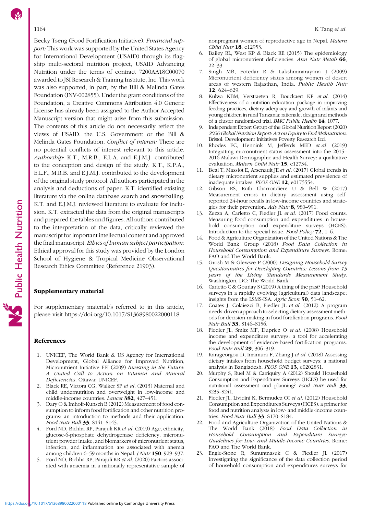<span id="page-11-0"></span>Becky Tseng (Food Fortification Initiative). Financial support: This work was supported by the United States Agency for International Development (USAID) through its flagship multi-sectoral nutrition project, USAID Advancing Nutrition under the terms of contract 7200AA18C00070 awarded to JSI Research & Training Institute, Inc. This work was also supported, in part, by the Bill & Melinda Gates Foundation (INV-002855). Under the grant conditions of the Foundation, a Creative Commons Attribution 4.0 Generic License has already been assigned to the Author Accepted Manuscript version that might arise from this submission. The contents of this article do not necessarily reflect the views of USAID, the U.S. Government or the Bill & Melinda Gates Foundation. Conflict of interest: There are no potential conflicts of interest relevant to this article. Authorship: K.T., M.R.B., E.L.A. and E.J.M.J. contributed to the conception and design of the study. K.T., K.P.A., E.L.F., M.R.B. and E.J.M.J. contributed to the development of the original study protocol. All authors participated in the analysis and deductions of paper. K.T. identified existing literature via the online database search and snowballing. K.T. and E.J.M.J. reviewed literature to evaluate for inclusion. K.T. extracted the data from the original manuscripts and prepared the tables and figures. All authors contributed to the interpretation of the data, critically reviewed the manuscript for important intellectual content and approved the final manuscript. Ethics of human subject participation: Ethical approval for this study was provided by the London School of Hygiene & Tropical Medicine Observational Research Ethics Committee (Reference 21903).

### Supplementary material

For supplementary material/s referred to in this article, please visit<https://doi.org/10.1017/S1368980022000118>

### References

- 1. UNICEF, The World Bank & US Agency for International Development, Global Alliance for Improved Nutrition, Micronutrient Initiative FFI (2009) Investing in the Future: A United Call to Action on Vitamin and Mineral Deficiencies. Ottawa: UNICEF.
- 2. Black RE, Victora CG, Walker SP et al. (2013) Maternal and child undernutrition and overweight in low-income and middle-income countries. Lancet 382, 427–451.
- 3. Dary O & Imhoff-Kunsch B (2012) Measurement of food consumption to inform food fortification and other nutrition programs: an introduction to methods and their application. Food Nutr Bull 33, S141–S145.
- 4. Ford ND, Bichha RP, Parajuli KR et al. (2019) Age, ethnicity, glucose-6-phosphate dehydrogenase deficiency, micronutrient powder intake, and biomarkers of micronutrient status, infection, and inflammation are associated with anemia among children 6–59 months in Nepal. J Nutr 150, 929–937.
- 5. Ford ND, Bichha RP, Parajuli KR et al. (2020) Factors associated with anaemia in a nationally representative sample of

nonpregnant women of reproductive age in Nepal. Matern Child Nutr 18, e12953.

- 6. Bailey RL, West KP & Black RE (2015) The epidemiology of global micronutrient deficiencies. Ann Nutr Metab 66, 22–33.
- 7. Singh MB, Fotedar R & Lakshminarayana J (2009) Micronutrient deficiency status among women of desert areas of western Rajasthan, India. Public Health Nutr 12, 624–629.
- 8. Kulwa KBM, Verstraeten R, Bouckaert KP et al. (2014) Effectiveness of a nutrition education package in improving feeding practices, dietary adequacy and growth of infants and young children in rural Tanzania: rationale, design and methods of a cluster randomised trial. BMC Public Health 14, 1077.
- 9. Independent Expert Group of the Global Nutrition Report (2020) 2020Global Nutrition Report: Act on Equityto End Malnutrition. Bristol: Development Initiatives Poverty Research Ltd.
- 10. Rhodes EC, Hennink M, Jefferds MED et al. (2019) Integrating micronutrient status assessment into the 2015– 2016 Malawi Demographic and Health Survey: a qualitative evaluation. Matern Child Nutr 15, e12734.
- 11. Beal T, Massiot E, Arsenault JE et al. (2017) Global trends in dietary micronutrient supplies and estimated prevalence of inadequate intakes. PLOS ONE 12, e0175554.
- 12. Gibson RS, Ruth Charrondiere U & Bell W (2017) Measurement errors in dietary assessment using selfreported 24-hour recalls in low-income countries and strategies for their prevention. Adv Nutr 8, 980–991.
- 13. Zezza A, Carletto C, Fiedler JL et al. (2017) Food counts. Measuring food consumption and expenditures in household consumption and expenditure surveys (HCES). Introduction to the special issue. Food Policy 72, 1–6.
- Food & Agriculture Organization of the United Nations & The World Bank Group (2018) Food Data Collection in Household Consumption and Expenditure Surveys. Rome: FAO and The World Bank.
- 15. Grosh M & Glewwe P (2000) Designing Household Survey Questionnaires for Developing Countries: Lessons from 15 years of the Living Standards Measurement Study. Washington, DC: The World Bank.
- 16. Carletto C & Gourlay S (2019) A thing of the past? Household surveys in a rapidly evolving (agricultural) data landscape: insights from the LSMS-ISA. Agric Econ 50, 51–62.
- 17. Coates J, Colaiezzi B, Fiedler JL et al. (2012) A program needs-driven approach to selecting dietary assessment methods for decision-making in food fortification programs. Food Nutr Bull 33, S146–S156.
- 18. Fiedler JL, Smitz MF, Dupriez O et al. (2008) Household income and expenditure surveys: a tool for accelerating the development of evidence-based fortification programs. Food Nutr Bull 29, 306–319.
- 19. Karageorgou D, Imamura F, Zhang J et al. (2018) Assessing dietary intakes from household budget surveys: a national analysis in Bangladesh. PLOS ONE 13, e0202831.
- 20. Murphy S, Ruel M & Carriquiry A (2012) Should Household Consumption and Expenditures Surveys (HCES) be used for nutritional assessment and planning? Food Nutr Bull 33, S235–S241.
- 21. Fiedler JL, Lividini K, Bermudez OI et al. (2012) Household Consumption and Expenditures Surveys (HCES): a primer for food and nutrition analysts in low- and middle-income countries. Food Nutr Bull 33, S170-S184.
- 22. Food and Agriculture Organization of the United Nations & The World Bank (2018) Food Data Collection in Household Consumption and Expenditure Surveys: Guidelines for Low- and Middle-Income Countries. Rome: FAO and The World Bank.
- 23. Engle-Stone R, Sununtnasuk C & Fiedler JL (2017) Investigating the significance of the data collection period of household consumption and expenditures surveys for

Public Health Nutrition